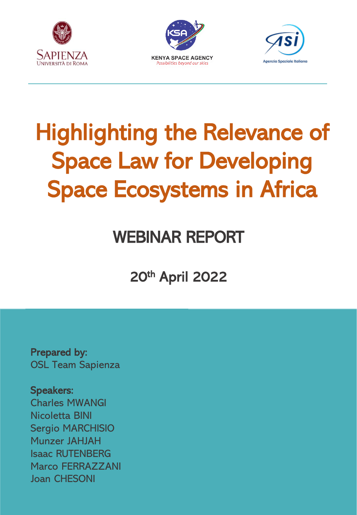





# Highlighting the Relevance of Space Law for Developing Space Ecosystems in Africa

# WEBINAR REPORT

20th April 2022

Prepared by: OSL Team Sapienza

Speakers: Charles MWANGI Nicoletta BINI

Sergio MARCHISIO Munzer JAHJAH Isaac RUTENBERG Marco FERRAZZANI Joan CHESONI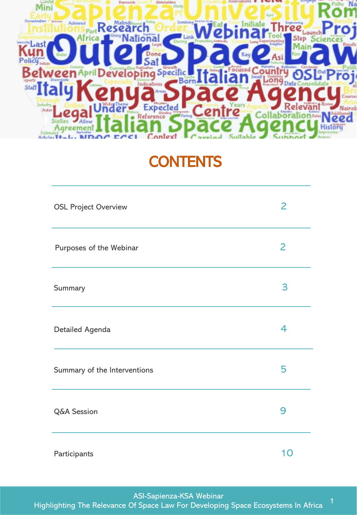

# **CONTENTS**

| <b>OSL Project Overview</b>  | 2  |
|------------------------------|----|
| Purposes of the Webinar      | 2  |
| Summary                      | 3  |
| Detailed Agenda              | 4  |
| Summary of the Interventions | 5  |
| <b>Q&amp;A Session</b>       | 9  |
| Participants                 | 10 |

ASI-Sapienza-KSA Webinar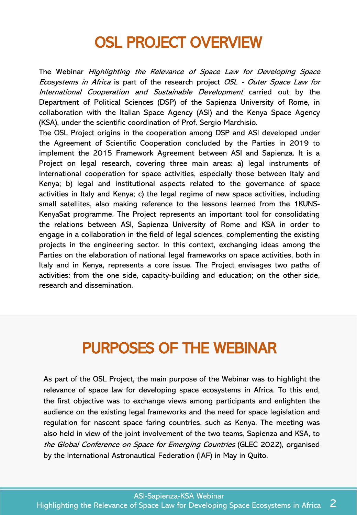### OSL PROJECT OVERVIEW

The Webinar Highlighting the Relevance of Space Law for Developing Space Ecosystems in Africa is part of the research project OSL - Outer Space Law for International Cooperation and Sustainable Development carried out by the Department of Political Sciences (DSP) of the Sapienza University of Rome, in collaboration with the Italian Space Agency (ASI) and the Kenya Space Agency (KSA), under the scientific coordination of Prof. Sergio Marchisio.

The OSL Project origins in the cooperation among DSP and ASI developed under the Agreement of Scientific Cooperation concluded by the Parties in 2019 to implement the 2015 Framework Agreement between ASI and Sapienza. It is a Project on legal research, covering three main areas: a) legal instruments of international cooperation for space activities, especially those between Italy and Kenya; b) legal and institutional aspects related to the governance of space activities in Italy and Kenya; c) the legal regime of new space activities, including small satellites, also making reference to the lessons learned from the 1KUNS-KenyaSat programme. The Project represents an important tool for consolidating the relations between ASI, Sapienza University of Rome and KSA in order to engage in a collaboration in the field of legal sciences, complementing the existing projects in the engineering sector. In this context, exchanging ideas among the Parties on the elaboration of national legal frameworks on space activities, both in Italy and in Kenya, represents a core issue. The Project envisages two paths of activities: from the one side, capacity-building and education; on the other side, research and dissemination.

# PURPOSES OF THE WEBINAR

As part of the OSL Project, the main purpose of the Webinar was to highlight the relevance of space law for developing space ecosystems in Africa. To this end, the first objective was to exchange views among participants and enlighten the audience on the existing legal frameworks and the need for space legislation and regulation for nascent space faring countries, such as Kenya. The meeting was also held in view of the joint involvement of the two teams, Sapienza and KSA, to the Global Conference on Space for Emerging Countries (GLEC 2022), organised by the International Astronautical Federation (IAF) in May in Quito.

ASI-Sapienza-KSA Webinar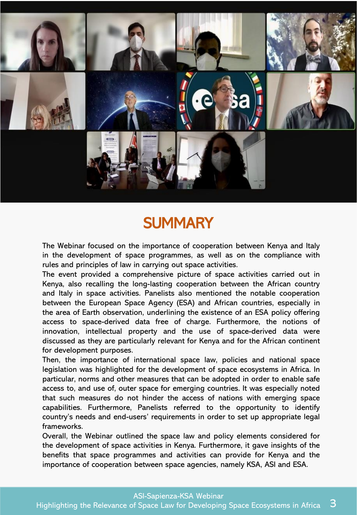

### **SUMMARY**

The Webinar focused on the importance of cooperation between Kenya and Italy in the development of space programmes, as well as on the compliance with rules and principles of law in carrying out space activities.

The event provided a comprehensive picture of space activities carried out in Kenya, also recalling the long-lasting cooperation between the African country and Italy in space activities. Panelists also mentioned the notable cooperation between the European Space Agency (ESA) and African countries, especially in the area of Earth observation, underlining the existence of an ESA policy offering access to space-derived data free of charge. Furthermore, the notions of innovation, intellectual property and the use of space-derived data were discussed as they are particularly relevant for Kenya and for the African continent for development purposes.

Then, the importance of international space law, policies and national space legislation was highlighted for the development of space ecosystems in Africa. In particular, norms and other measures that can be adopted in order to enable safe access to, and use of, outer space for emerging countries. It was especially noted that such measures do not hinder the access of nations with emerging space capabilities. Furthermore, Panelists referred to the opportunity to identify country's needs and end-users' requirements in order to set up appropriate legal frameworks.

Overall, the Webinar outlined the space law and policy elements considered for the development of space activities in Kenya. Furthermore, it gave insights of the benefits that space programmes and activities can provide for Kenya and the importance of cooperation between space agencies, namely KSA, ASI and ESA.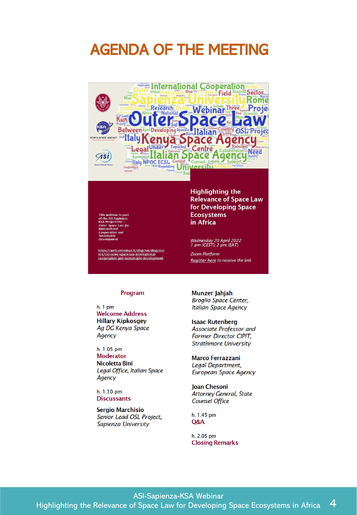### AGENDA OF THE MEETING



https://web.uniroma1.it/disp/en/disp/eve<br>nts/osl-outer-space-law-international-<br>cooperation-and-sustainable-development

**Highlighting the Relevance of Space Law** for Developing Space **Ecosystems** in Africa

Wednesday 20 April 2022<br>1 pm (CEST); 2 pm (EAT)

Zoom Platform Register here to receive the link

#### Program

 $h.1$  pm **Welcome Address Hillary Kipkosgey** Ag DG Kenya Space Agency

h. 1.05 pm **Moderator** Nicoletta Bini Legal Office, Italian Space Agency

h. 1.10 pm **Discussants** 

**Sergio Marchisio** Senior Lead OSL Project, Sapienza University

Munzer Jahjah **Broglio Space Center,** Italian Space Agency

#### **Isaac Rutenberg**

Associate Professor and Former Director CIPIT, **Strathmore University** 

#### **Marco Ferrazzani**

Legal Department, European Space Agency

**Joan Chesoni** Attorney General, State Counsel Office

h. 1.45 pm Q&A

h. 2.05 pm **Closing Remarks** 

#### ASI-Sapienza-KSA Webinar Highlighting the Relevance of Space Law for Developing Space Ecosystems in Africa 4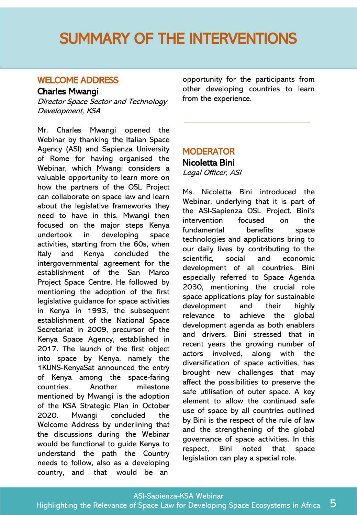### WELCOME ADDRESS

#### Charles Mwangi

Director Space Sector and Technology Development, KSA

Mr. Charles Mwangi opened the Webinar by thanking the Italian Space Agency (ASI) and Sapienza University of Rome for having organised the Webinar, which Mwangi considers a valuable opportunity to learn more on how the partners of the OSL Project can collaborate on space law and learn about the legislative frameworks they need to have in this. Mwangi then focused on the major steps Kenya undertook in developing space activities, starting from the 60s, when Italy and Kenya concluded the intergovernmental agreement for the establishment of the San Marco Project Space Centre. He followed by mentioning the adoption of the first legislative guidance for space activities in Kenya in 1993, the subsequent establishment of the National Space Secretariat in 2009, precursor of the Kenya Space Agency, established in 2017. The launch of the first object into space by Kenya, namely the 1KUNS-KenyaSat announced the entry of Kenya among the space-faring countries. Another milestone mentioned by Mwangi is the adoption of the KSA Strategic Plan in October 2020. Mwangi concluded the Welcome Address by underlining that the discussions during the Webinar would be functional to guide Kenya to understand the path the Country needs to follow, also as a developing country, and that would be an

opportunity for the participants from other developing countries to learn from the experience.

### **MODERATOR**

### Nicoletta Bini

Legal Officer, ASI

Ms. Nicoletta Bini introduced the Webinar, underlying that it is part of the ASI-Sapienza OSL Project. Bini's intervention focused on the fundamental benefits space technologies and applications bring to our daily lives by contributing to the scientific, social and economic development of all countries. Bini especially referred to Space Agenda 2030, mentioning the crucial role space applications play for sustainable development and their highly relevance to achieve the global development agenda as both enablers and drivers. Bini stressed that in recent years the growing number of actors involved, along with the diversification of space activities, has brought new challenges that may affect the possibilities to preserve the safe utilisation of outer space. A key element to allow the continued safe use of space by all countries outlined by Bini is the respect of the rule of law and the strengthening of the global governance of space activities. In this respect, Bini noted that space legislation can play a special role.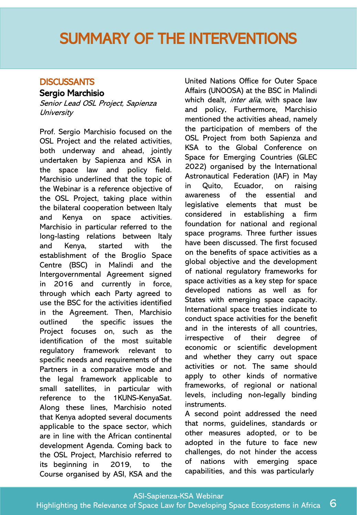### **DISCUSSANTS**

#### Sergio Marchisio

Senior Lead OSL Project, Sapienza **University** 

Prof. Sergio Marchisio focused on the OSL Project and the related activities, both underway and ahead, jointly undertaken by Sapienza and KSA in the space law and policy field. Marchisio underlined that the topic of the Webinar is a reference objective of the OSL Project, taking place within the bilateral cooperation between Italy and Kenya on space activities. Marchisio in particular referred to the long-lasting relations between Italy and Kenya, started with the establishment of the Broglio Space Centre (BSC) in Malindi and the Intergovernmental Agreement signed in 2016 and currently in force, through which each Party agreed to use the BSC for the activities identified in the Agreement. Then, Marchisio outlined the specific issues the Project focuses on, such as the identification of the most suitable regulatory framework relevant to specific needs and requirements of the Partners in a comparative mode and the legal framework applicable to small satellites, in particular with reference to the 1KUNS-KenyaSat. Along these lines, Marchisio noted that Kenya adopted several documents applicable to the space sector, which are in line with the African continental development Agenda. Coming back to the OSL Project, Marchisio referred to its beginning in 2019, to the Course organised by ASI, KSA and the

United Nations Office for Outer Space Affairs (UNOOSA) at the BSC in Malindi which dealt, *inter alia*, with space law and policy. Furthermore, Marchisio mentioned the activities ahead, namely the participation of members of the OSL Project from both Sapienza and KSA to the Global Conference on Space for Emerging Countries (GLEC 2022) organised by the International Astronautical Federation (IAF) in May in Quito, Ecuador, on raising awareness of the essential and legislative elements that must be considered in establishing a firm foundation for national and regional space programs. Three further issues have been discussed. The first focused on the benefits of space activities as a global objective and the development of national regulatory frameworks for space activities as a key step for space developed nations as well as for States with emerging space capacity. International space treaties indicate to conduct space activities for the benefit and in the interests of all countries, irrespective of their degree of economic or scientific development and whether they carry out space activities or not. The same should apply to other kinds of normative frameworks, of regional or national levels, including non-legally binding instruments.

A second point addressed the need that norms, guidelines, standards or other measures adopted, or to be adopted in the future to face new challenges, do not hinder the access of nations with emerging space capabilities, and this was particularly

ASI-Sapienza-KSA Webinar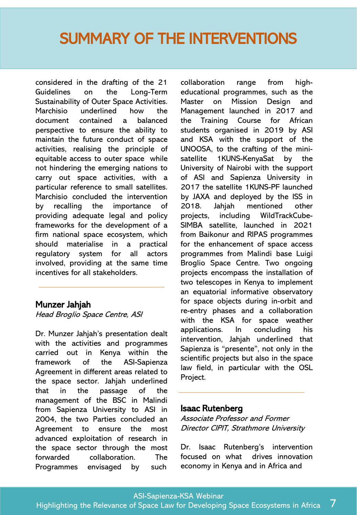considered in the drafting of the 21 Guidelines on the Long-Term Sustainability of Outer Space Activities. Marchisio underlined how the document contained a balanced perspective to ensure the ability to maintain the future conduct of space activities, realising the principle of equitable access to outer space while not hindering the emerging nations to carry out space activities, with a particular reference to small satellites. Marchisio concluded the intervention by recalling the importance of providing adequate legal and policy frameworks for the development of a firm national space ecosystem, which should materialise in a practical regulatory system for all actors involved, providing at the same time incentives for all stakeholders.

#### Munzer Jahjah

Head Broglio Space Centre, ASI

Dr. Munzer Jahjah's presentation dealt with the activities and programmes carried out in Kenya within the framework of the ASI-Sapienza Agreement in different areas related to the space sector. Jahjah underlined that in the passage of the management of the BSC in Malindi from Sapienza University to ASI in 2004, the two Parties concluded an Agreement to ensure the most advanced exploitation of research in the space sector through the most forwarded collaboration. The Programmes envisaged by such

collaboration range from higheducational programmes, such as the Master on Mission Design and Management launched in 2017 and the Training Course for African students organised in 2019 by ASI and KSA with the support of the UNOOSA, to the crafting of the minisatellite 1KUNS-KenyaSat by the University of Nairobi with the support of ASI and Sapienza University in 2017 the satellite 1KUNS-PF launched by JAXA and deployed by the ISS in 2018. Jahjah mentioned other projects, including WildTrackCube-SIMBA satellite, launched in 2021 from Baikonur and RIPAS programmes for the enhancement of space access programmes from Malindi base Luigi Broglio Space Centre. Two ongoing projects encompass the installation of two telescopes in Kenya to implement an equatorial informative observatory for space objects during in-orbit and re-entry phases and a collaboration with the KSA for space weather applications. In concluding his intervention, Jahjah underlined that Sapienza is "presente", not only in the scientific projects but also in the space law field, in particular with the OSL Project.

#### Isaac Rutenberg

Associate Professor and Former Director CIPIT, Strathmore University

Dr. Isaac Rutenberg's intervention focused on what drives innovation economy in Kenya and in Africa and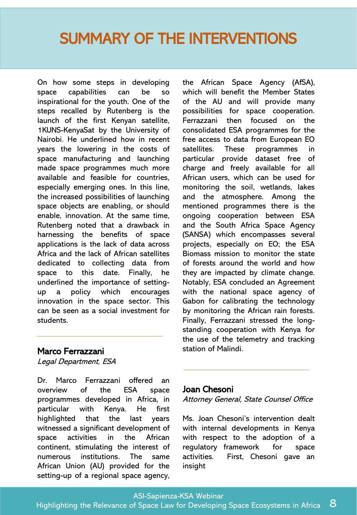On how some steps in developing space capabilities can be so inspirational for the youth. One of the steps recalled by Rutenberg is the launch of the first Kenyan satellite, 1KUNS-KenyaSat by the University of Nairobi. He underlined how in recent years the lowering in the costs of space manufacturing and launching made space programmes much more available and feasible for countries, especially emerging ones. In this line, the increased possibilities of launching space objects are enabling, or should enable, innovation. At the same time, Rutenberg noted that a drawback in harnessing the benefits of space applications is the lack of data across Africa and the lack of African satellites dedicated to collecting data from space to this date. Finally, he underlined the importance of settingup a policy which encourages innovation in the space sector. This can be seen as a social investment for students.

### Marco Ferrazzani

Legal Department, ESA

Dr. Marco Ferrazzani offered an overview of the ESA space programmes developed in Africa, in particular with Kenya. He first highlighted that the last years witnessed a significant development of space activities in the African continent, stimulating the interest of numerous institutions. The same African Union (AU) provided for the setting-up of a regional space agency,

the African Space Agency (AfSA), which will benefit the Member States of the AU and will provide many possibilities for space cooperation. Ferrazzani then focused on the consolidated ESA programmes for the free access to data from European EO satellites. These programmes in particular provide dataset free of charge and freely available for all African users, which can be used for monitoring the soil, wetlands, lakes and the atmosphere. Among the mentioned programmes there is the ongoing cooperation between ESA and the South Africa Space Agency (SANSA) which encompasses several projects, especially on EO; the ESA Biomass mission to monitor the state of forests around the world and how they are impacted by climate change. Notably, ESA concluded an Agreement with the national space agency of Gabon for calibrating the technology by monitoring the African rain forests. Finally, Ferrazzani stressed the longstanding cooperation with Kenya for the use of the telemetry and tracking station of Malindi.

### Joan Chesoni

Attorney General, State Counsel Office

Ms. Joan Chesoni's intervention dealt with internal developments in Kenya with respect to the adoption of a regulatory framework for space activities. First, Chesoni gave an insight

ASI-Sapienza-KSA Webinar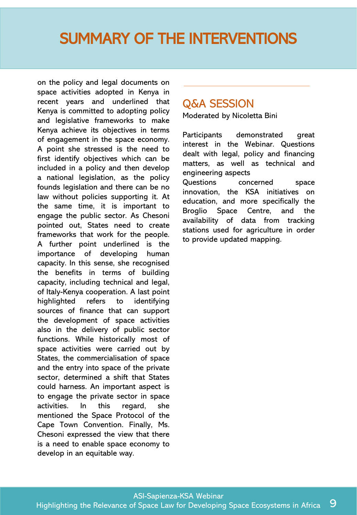on the policy and legal documents on space activities adopted in Kenya in recent years and underlined that Kenya is committed to adopting policy and legislative frameworks to make Kenya achieve its objectives in terms of engagement in the space economy. A point she stressed is the need to first identify objectives which can be included in a policy and then develop a national legislation, as the policy founds legislation and there can be no law without policies supporting it. At the same time, it is important to engage the public sector. As Chesoni pointed out, States need to create frameworks that work for the people. A further point underlined is the importance of developing human capacity. In this sense, she recognised the benefits in terms of building capacity, including technical and legal, of Italy-Kenya cooperation. A last point highlighted refers to identifying sources of finance that can support the development of space activities also in the delivery of public sector functions. While historically most of space activities were carried out by States, the commercialisation of space and the entry into space of the private sector, determined a shift that States could harness. An important aspect is to engage the private sector in space activities. In this regard, she mentioned the Space Protocol of the Cape Town Convention. Finally, Ms. Chesoni expressed the view that there is a need to enable space economy to develop in an equitable way.

### Q&A SESSION

Moderated by Nicoletta Bini

Participants demonstrated great interest in the Webinar. Questions dealt with legal, policy and financing matters, as well as technical and engineering aspects Questions concerned space innovation, the KSA initiatives on education, and more specifically the Broglio Space Centre, and the availability of data from tracking stations used for agriculture in order to provide updated mapping.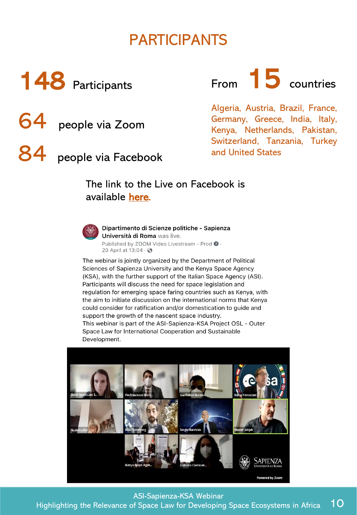### PARTICIPANTS



From **15** countries

Algeria, Austria, Brazil, France, Germany, Greece, India, Italy, Kenya, Netherlands, Pakistan, Switzerland, Tanzania, Turkey and United States

### The link to the Live on Facebook is available [here.](https://web.uniroma1.it/disp/disp/disp/ricerca/progetti-di-ricerca/osl-outer-space-law-international-cooperation-and-sustainable)



64 people via Zoom

people via Facebook

Dipartimento di Scienze politiche - Sapienza Università di Roma was live. Published by ZOOM Video Livestream - Prod @ . 20 April at 13:04 · 3

The webinar is jointly organized by the Department of Political Sciences of Sapienza University and the Kenya Space Agency (KSA), with the further support of the Italian Space Agency (ASI). Participants will discuss the need for space legislation and regulation for emerging space faring countries such as Kenya, with the aim to initiate discussion on the international norms that Kenya could consider for ratification and/or domestication to guide and support the growth of the nascent space industry. This webinar is part of the ASI-Sapienza-KSA Project OSL - Outer Space Law for International Cooperation and Sustainable Development.



ASI-Sapienza-KSA Webinar